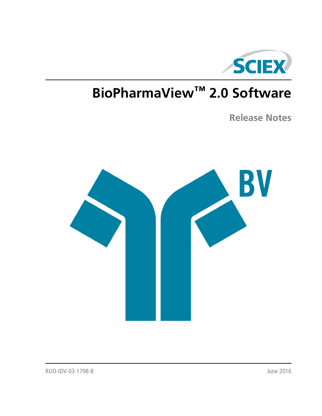

# **BioPharmaView™ 2.0 Software**

**Release Notes**

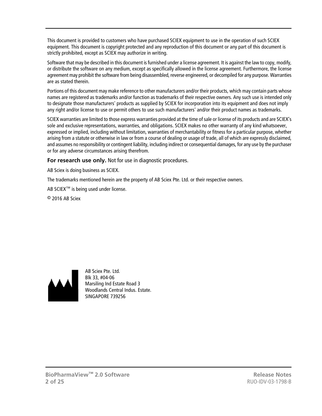This document is provided to customers who have purchased SCIEX equipment to use in the operation of such SCIEX equipment. This document is copyright protected and any reproduction of this document or any part of this document is strictly prohibited, except as SCIEX may authorize in writing.

Software that may be described in this document is furnished under a license agreement. It is against the law to copy, modify, or distribute the software on any medium, except as specifically allowed in the license agreement. Furthermore, the license agreement may prohibit the software from being disassembled, reverse engineered, or decompiled for any purpose. Warranties are as stated therein.

Portions of this document may make reference to other manufacturers and/or their products, which may contain parts whose names are registered as trademarks and/or function as trademarks of their respective owners. Any such use is intended only to designate those manufacturers' products as supplied by SCIEX for incorporation into its equipment and does not imply any right and/or license to use or permit others to use such manufacturers' and/or their product names as trademarks.

SCIEX warranties are limited to those express warranties provided at the time of sale or license of its products and are SCIEX's sole and exclusive representations, warranties, and obligations. SCIEX makes no other warranty of any kind whatsoever, expressed or implied, including without limitation, warranties of merchantability or fitness for a particular purpose, whether arising from a statute or otherwise in law or from a course of dealing or usage of trade, all of which are expressly disclaimed, and assumes no responsibility or contingent liability, including indirect or consequential damages, for any use by the purchaser or for any adverse circumstances arising therefrom.

**For research use only.** Not for use in diagnostic procedures.

AB Sciex is doing business as SCIEX.

The trademarks mentioned herein are the property of AB Sciex Pte. Ltd. or their respective owners.

AB SCIEX<sup>™</sup> is being used under license.

 $\circ$  2016 AB Sciex



AB Sciex Pte. Ltd. Blk 33, #04-06 Marsiling Ind Estate Road 3 Woodlands Central Indus. Estate. SINGAPORE 739256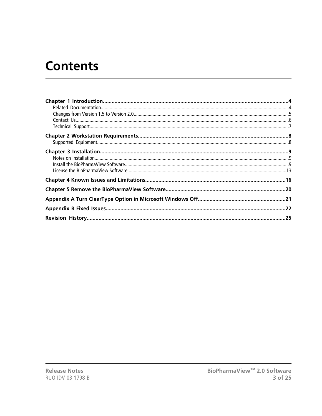# **Contents**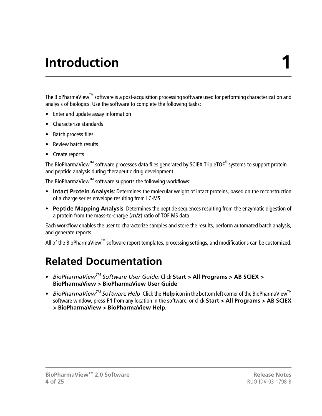# **Introduction 1**

<span id="page-3-0"></span>The BioPharmaView™ software is a post-acquisition processing software used for performing characterization and analysis of biologics. Use the software to complete the following tasks:

- Enter and update assay information
- Characterize standards
- Batch process files
- Review batch results
- Create reports

The BioPharmaView<sup>™</sup> software processes data files generated by SCIEX TripleTOF<sup>®</sup> systems to support protein and peptide analysis during therapeutic drug development.

The BioPharmaView™ software supports the following workflows:

- **Intact Protein Analysis**: Determines the molecular weight of intact proteins, based on the reconstruction of a charge series envelope resulting from LC-MS.
- **Peptide Mapping Analysis**: Determines the peptide sequences resulting from the enzymatic digestion of a protein from the mass-to-charge (*m/z*) ratio of TOF MS data.

Each workflow enables the user to characterize samples and store the results, perform automated batch analysis, and generate reports.

<span id="page-3-1"></span>All of the BioPharmaView<sup>™</sup> software report templates, processing settings, and modifications can be customized.

## **Related Documentation**

- *BioPharmaViewTM Software User Guide*: Click **Start > All Programs > AB SCIEX > BioPharmaView > BioPharmaView User Guide**.
- *BioPharmaViewTM Software Help*: Click the **Help** icon in the bottom left corner of the BioPharmaViewTM software window, press **F1** from any location in the software, or click **Start > All Programs > AB SCIEX > BioPharmaView > BioPharmaView Help**.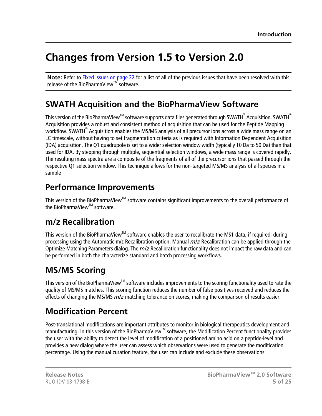## <span id="page-4-0"></span>**Changes from Version 1.5 to Version 2.0**

**Note:** Refer to [Fixed Issues on page 22](#page-21-0) for a list of all of the previous issues that have been resolved with this release of the BioPharmaView™ software.

### **SWATH Acquisition and the BioPharmaView Software**

This version of the BioPharmaView $^{\text{\tiny{\textsf{TM}}}}$  software supports data files generated through SWATH $^\circ$  Acquisition. SWATH $^\circ$ Acquisition provides a robust and consistent method of acquisition that can be used for the Peptide Mapping workflow. SWATH<sup>®</sup> Acquisition enables the MS/MS analysis of all precursor ions across a wide mass range on an LC timescale, without having to set fragmentation criteria as is required with Information Dependent Acquisition (IDA) acquisition. The Q1 quadrupole is set to a wider selection window width (typically 10 Da to 50 Da) than that used for IDA. By stepping through multiple, sequential selection windows, a wide mass range is covered rapidly. The resulting mass spectra are a composite of the fragments of all of the precursor ions that passed through the respective Q1 selection window. This technique allows for the non-targeted MS/MS analysis of all species in a sample

### **Performance Improvements**

This version of the BioPharmaView™ software contains significant improvements to the overall performance of the BioPharmaView $^{TM}$  software.

### **m/z Recalibration**

This version of the BioPharmaView<sup>™</sup> software enables the user to recalibrate the MS1 data, if required, during processing using the Automatic m/z Recalibration option. Manual *m/z* Recalibration can be applied through the Optimize Matching Parameters dialog. The *m/z* Recalibration functionality does not impact the raw data and can be performed in both the characterize standard and batch processing workflows.

## **MS/MS Scoring**

This version of the BioPharmaView™ software includes improvements to the scoring functionality used to rate the quality of MS/MS matches. This scoring function reduces the number of false positives received and reduces the effects of changing the MS/MS *m/z* matching tolerance on scores, making the comparison of results easier.

## **Modification Percent**

Post-translational modifications are important attributes to monitor in biological therapeutics development and manufacturing. In this version of the BioPharmaView™ software, the Modification Percent functionality provides the user with the ability to detect the level of modification of a positioned amino acid on a peptide-level and provides a new dialog where the user can assess which observations were used to generate the modification percentage. Using the manual curation feature, the user can include and exclude these observations.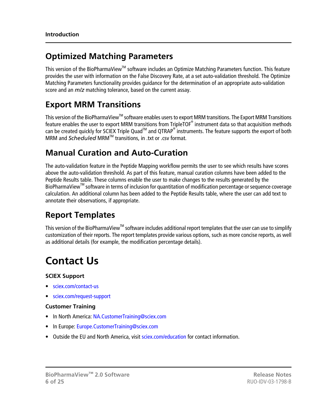### **Optimized Matching Parameters**

This version of the BioPharmaView™ software includes an Optimize Matching Parameters function. This feature provides the user with information on the False Discovery Rate, at a set auto-validation threshold. The Optimize Matching Parameters functionality provides guidance for the determination of an appropriate auto-validation score and an *m/z* matching tolerance, based on the current assay.

### **Export MRM Transitions**

This version of the BioPharmaView<sup>™</sup> software enables users to export MRM transitions. The Export MRM Transitions feature enables the user to export MRM transitions from TripleTOF $^\circ$  instrument data so that acquisition methods can be created quickly for SCIEX Triple Quad<sup>™</sup> and QTRAP® instruments. The feature supports the export of both MRM and *Scheduled* MRM<sup>™</sup> transitions, in .txt or .csv format.

### **Manual Curation and Auto-Curation**

The auto-validation feature in the Peptide Mapping workflow permits the user to see which results have scores above the auto-validation threshold. As part of this feature, manual curation columns have been added to the Peptide Results table. These columns enable the user to make changes to the results generated by the BioPharmaView<sup>™</sup> software in terms of inclusion for quantitation of modification percentage or sequence coverage calculation. An additional column has been added to the Peptide Results table, where the user can add text to annotate their observations, if appropriate.

### **Report Templates**

<span id="page-5-0"></span>This version of the BioPharmaView<sup>™</sup> software includes additional report templates that the user can use to simplify customization of their reports. The report templates provide various options, such as more concise reports, as well as additional details (for example, the modification percentage details).

## **Contact Us**

#### **SCIEX Support**

- [sciex.com/contact-us](http://sciex.com/contact-us)
- [sciex.com/request-support](http://sciex.com/request-support)

#### **Customer Training**

- In North America: [NA.CustomerTraining@sciex.com](mailto:NA.CustomerTraining@sciex.com)
- In Europe: [Europe.CustomerTraining@sciex.com](mailto:Europe.CustomerTraining@sciex.com)
- Outside the EU and North America, visit [sciex.com/education](http://sciex.com/education) for contact information.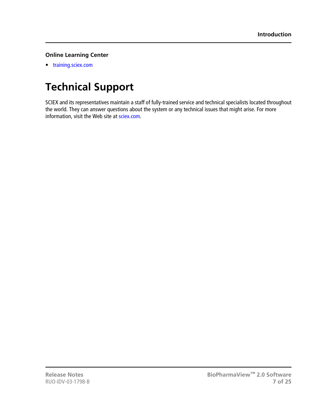#### **Online Learning Center**

• [training.sciex.com](http://training.sciex.com)

## <span id="page-6-0"></span>**Technical Support**

SCIEX and its representatives maintain a staff of fully-trained service and technical specialists located throughout the world. They can answer questions about the system or any technical issues that might arise. For more information, visit the Web site at [sciex.com](http://sciex.com).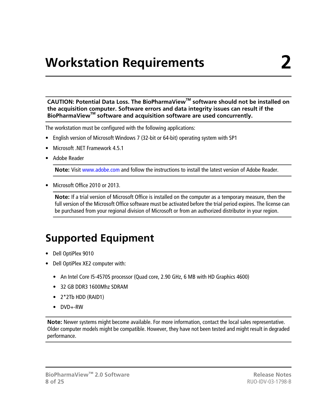# **Workstation Requirements 2**

<span id="page-7-0"></span>**CAUTION: Potential Data Loss. The BioPharmaViewTM software should not be installed on the acquisition computer. Software errors and data integrity issues can result if the BioPharmaViewTM software and acquisition software are used concurrently.**

The workstation must be configured with the following applications:

- English version of Microsoft Windows 7 (32-bit or 64-bit) operating system with SP1
- Microsoft .NET Framework 4.5.1
- Adobe Reader

**Note:** Visit<www.adobe.com>and follow the instructions to install the latest version of Adobe Reader.

• Microsoft Office 2010 or 2013.

<span id="page-7-1"></span>**Note:** If a trial version of Microsoft Office is installed on the computer as a temporary measure, then the full version of the Microsoft Office software must be activated before the trial period expires. The license can be purchased from your regional division of Microsoft or from an authorized distributor in your region.

## **Supported Equipment**

- Dell OptiPlex 9010
- Dell OptiPlex XE2 computer with:
	- An Intel Core I5-4570S processor (Quad core, 2.90 GHz, 6 MB with HD Graphics 4600)
	- 32 GB DDR3 1600Mhz SDRAM
	- 2\*2Tb HDD (RAID1)
	- DVD+-RW

**Note:** Newer systems might become available. For more information, contact the local sales representative. Older computer models might be compatible. However, they have not been tested and might result in degraded performance.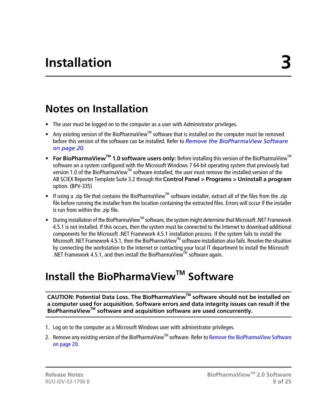## <span id="page-8-1"></span><span id="page-8-0"></span>**Notes on Installation**

- The user must be logged on to the computer as a user with Administrator privileges.
- Any existing version of the BioPharmaView<sup>™</sup> software that is installed on the computer must be removed before this version of the software can be installed. Refer to *[Remove the BioPharmaView Software](#page-19-0) [on page 20](#page-19-0)*.
- **For BioPharmaView**<sup>™</sup> 1.0 software users only: Before installing this version of the BioPharmaView<sup>™</sup> software on a system configured with the Microsoft Windows 7 64-bit operating system that previously had version 1.0 of the BioPharmaView™ software installed, the user must remove the installed version of the AB SCIEX Reporter Template Suite 3.2 through the **Control Panel > Programs > Uninstall a program** option. (BPV-335)
- If using a .zip file that contains the BioPharmaView<sup>™</sup> software installer, extract all of the files from the .zip file before running the installer from the location containing the extracted files. Errors will occur if the installer is run from within the .zip file.
- During installation of the BioPharmaView<sup>™</sup> software, the system might determine that Microsoft .NET Framework 4.5.1 is not installed. If this occurs, then the system must be connected to the Internet to download additional components for the Microsoft .NET Framework 4.5.1 installation process. If the system fails to install the Microsoft .NET Framework 4.5.1, then the BioPharmaView™ software installation also fails. Resolve the situation by connecting the workstation to the Internet or contacting your local IT department to install the Microsoft .NET Framework 4.5.1, and then install the BioPharmaView<sup>™</sup> software again.

## <span id="page-8-2"></span>**Install the BioPharmaViewTM Software**

**CAUTION: Potential Data Loss. The BioPharmaViewTM software should not be installed on a computer used for acquisition. Software errors and data integrity issues can result if the BioPharmaViewTM software and acquisition software are used concurrently.**

- 1. Log on to the computer as a Microsoft Windows user with administrator privileges.
- 2. Remove any existing version of the BioPharmaView™ software. Refer to [Remove the BioPharmaView Software](#page-19-0) [on page 20.](#page-19-0)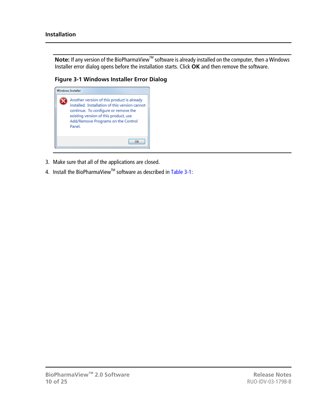Note: If any version of the BioPharmaView<sup>™</sup> software is already installed on the computer, then a Windows Installer error dialog opens before the installation starts. Click **OK** and then remove the software.

**Figure 3-1 Windows Installer Error Dialog**



- 3. Make sure that all of the applications are closed.
- 4. Install the BioPharmaView™ software as described in [Table 3-1](#page-10-0):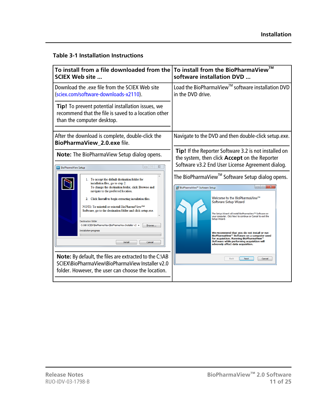#### <span id="page-10-0"></span>**Table 3-1 Installation Instructions**

| To install from a file downloaded from the                                                                                                                                                                                                                                                                                                                                                                                                                                                                                                                                                                                                    | To install from the BioPharmaView™                                                                                                                                                                                                                                                                                                                                                                                                                                                                                                                                                                                                                                                                                                                 |  |
|-----------------------------------------------------------------------------------------------------------------------------------------------------------------------------------------------------------------------------------------------------------------------------------------------------------------------------------------------------------------------------------------------------------------------------------------------------------------------------------------------------------------------------------------------------------------------------------------------------------------------------------------------|----------------------------------------------------------------------------------------------------------------------------------------------------------------------------------------------------------------------------------------------------------------------------------------------------------------------------------------------------------------------------------------------------------------------------------------------------------------------------------------------------------------------------------------------------------------------------------------------------------------------------------------------------------------------------------------------------------------------------------------------------|--|
| <b>SCIEX Web site </b>                                                                                                                                                                                                                                                                                                                                                                                                                                                                                                                                                                                                                        | software installation DVD                                                                                                                                                                                                                                                                                                                                                                                                                                                                                                                                                                                                                                                                                                                          |  |
| Download the .exe file from the SCIEX Web site                                                                                                                                                                                                                                                                                                                                                                                                                                                                                                                                                                                                | Load the BioPharmaView <sup>™</sup> software installation DVD                                                                                                                                                                                                                                                                                                                                                                                                                                                                                                                                                                                                                                                                                      |  |
| (sciex.com/software-downloads-x2110).                                                                                                                                                                                                                                                                                                                                                                                                                                                                                                                                                                                                         | in the DVD drive.                                                                                                                                                                                                                                                                                                                                                                                                                                                                                                                                                                                                                                                                                                                                  |  |
| Tip! To prevent potential installation issues, we<br>recommend that the file is saved to a location other<br>than the computer desktop.                                                                                                                                                                                                                                                                                                                                                                                                                                                                                                       |                                                                                                                                                                                                                                                                                                                                                                                                                                                                                                                                                                                                                                                                                                                                                    |  |
| After the download is complete, double-click the<br>BioPharmaView_2.0.exe file.                                                                                                                                                                                                                                                                                                                                                                                                                                                                                                                                                               | Navigate to the DVD and then double-click setup.exe.                                                                                                                                                                                                                                                                                                                                                                                                                                                                                                                                                                                                                                                                                               |  |
| <b>Note:</b> The BioPharmaView Setup dialog opens.<br>$\Box$<br>$\Sigma$<br><b>BV</b> BioPharmaView Setup<br>1. To accept the default destination folder for<br>installation files, go to step 2.<br>To change the destination folder, click Browse and<br>navigate to the preferred location.<br>2. Click Install to begin extracting installation files.<br>NOTE: To uninstall or reinstall BioPharmaView <sup>TM</sup><br>Software, go to the destination folder and click setup.exe.<br><b>Destination folder</b><br>C:\AB SCIEX\BioPharmaView\BioPharmaView Installer v2 ><br>Browse<br><b>Installation progress</b><br>Cancel<br>Instal | Tip! If the Reporter Software 3.2 is not installed on<br>the system, then click <b>Accept</b> on the Reporter<br>Software v3.2 End User License Agreement dialog.<br>The BioPharmaView <sup>™</sup> Software Setup dialog opens.<br>$\Box$<br>BioPharmaView <sup>™</sup> Software Setup<br>Welcome to the BioPharmaView™<br>Software Setup Wizard<br>The Setup Wizard will install BioPharmaView <sup>1</sup> <sup>M</sup> Software on<br>your computer. Click Next to continue or Cancel to exit the<br>Setup Wizard.<br>We recommend that you do not install or run<br>BioPharmaView™ Software on a computer used<br>for acquisition. Running BioPharmaView™<br>Software while performing acquisition will<br>adversely affect data acquisition. |  |
| Note: By default, the files are extracted to the C:\AB                                                                                                                                                                                                                                                                                                                                                                                                                                                                                                                                                                                        | Cancel                                                                                                                                                                                                                                                                                                                                                                                                                                                                                                                                                                                                                                                                                                                                             |  |
| SCIEX\BioPharmaView\BioPharmaView Installer v2.0                                                                                                                                                                                                                                                                                                                                                                                                                                                                                                                                                                                              | <b>Back</b>                                                                                                                                                                                                                                                                                                                                                                                                                                                                                                                                                                                                                                                                                                                                        |  |
| folder. However, the user can choose the location.                                                                                                                                                                                                                                                                                                                                                                                                                                                                                                                                                                                            | Next                                                                                                                                                                                                                                                                                                                                                                                                                                                                                                                                                                                                                                                                                                                                               |  |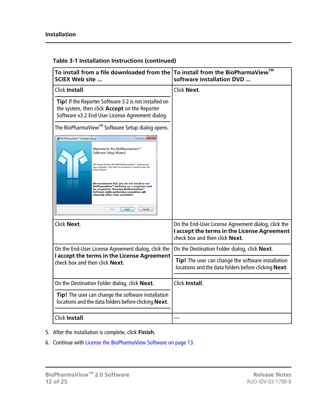| To install from a file downloaded from the<br><b>SCIEX Web site </b>                                                                                                                                                                                                                                                                                                                                                                                                                                               | To install from the BioPharmaView™<br>software installation DVD                                                                      |
|--------------------------------------------------------------------------------------------------------------------------------------------------------------------------------------------------------------------------------------------------------------------------------------------------------------------------------------------------------------------------------------------------------------------------------------------------------------------------------------------------------------------|--------------------------------------------------------------------------------------------------------------------------------------|
| Click Install.                                                                                                                                                                                                                                                                                                                                                                                                                                                                                                     | Click Next.                                                                                                                          |
| Tip! If the Reporter Software 3.2 is not installed on<br>the system, then click Accept on the Reporter<br>Software v3.2 End User License Agreement dialog.                                                                                                                                                                                                                                                                                                                                                         |                                                                                                                                      |
| The BioPharmaView <sup>™</sup> Software Setup dialog opens.                                                                                                                                                                                                                                                                                                                                                                                                                                                        |                                                                                                                                      |
| BioPharmaView <sup>™</sup> Software Setup<br>Welcome to the BioPharmaView™<br>Software Setup Wizard<br>The Setup Wizard will install BioPharmaView™ Software on<br>your computer. Click Next to continue or Cancel to exit the<br>Setup Wizard.<br>We recommend that you do not install or run<br>BioPharmaView™ Software on a computer used<br>for acquisition. Running BioPharmaView <sup>11</sup><br>Software while performing acquisition will<br>adversely affect data acquisition.<br>Back<br>Next<br>Cancel |                                                                                                                                      |
| Click Next.                                                                                                                                                                                                                                                                                                                                                                                                                                                                                                        | On the End-User License Agreement dialog, click the<br>I accept the terms in the License Agreement<br>check box and then click Next. |
| On the End-User License Agreement dialog, click the                                                                                                                                                                                                                                                                                                                                                                                                                                                                | On the Destination Folder dialog, click Next.                                                                                        |
| I accept the terms in the License Agreement<br>check box and then click Next.                                                                                                                                                                                                                                                                                                                                                                                                                                      | Tip! The user can change the software installation<br>locations and the data folders before clicking Next.                           |
| On the Destination Folder dialog, click Next.                                                                                                                                                                                                                                                                                                                                                                                                                                                                      | Click Install.                                                                                                                       |
| Tip! The user can change the software installation<br>locations and the data folders before clicking Next.                                                                                                                                                                                                                                                                                                                                                                                                         |                                                                                                                                      |
| Click Install.                                                                                                                                                                                                                                                                                                                                                                                                                                                                                                     |                                                                                                                                      |

#### **Table 3-1 Installation Instructions (continued)**

- 5. After the installation is complete, click **Finish**.
- 6. Continue with [License the BioPharmaView Software on page 13](#page-12-0).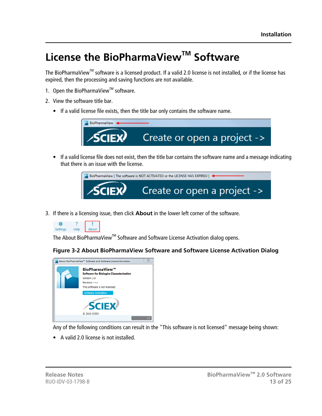## <span id="page-12-0"></span>**License the BioPharmaViewTM Software**

The BioPharmaView™ software is a licensed product. If a valid 2.0 license is not installed, or if the license has expired, then the processing and saving functions are not available.

- 1. Open the BioPharmaView<sup>™</sup> software.
- 2. View the software title bar.
	- If a valid license file exists, then the title bar only contains the software name.



• If a valid license file does not exist, then the title bar contains the software name and a message indicating that there is an issue with the license.



3. If there is a licensing issue, then click **About** in the lower left corner of the software.



The About BioPharmaView™ Software and Software License Activation dialog opens.





Any of the following conditions can result in the "This software is not licensed" message being shown:

• A valid 2.0 license is not installed.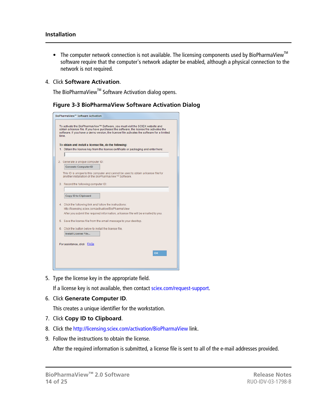- The computer network connection is not available. The licensing components used by BioPharmaView<sup>™</sup> software require that the computer's network adapter be enabled, although a physical connection to the network is not required.
- 4. Click **Software Activation**.

The BioPharmaView™ Software Activation dialog opens.

#### **Figure 3-3 BioPharmaView Software Activation Dialog**

| To activate the BioPharmaView™ Software, you must visit the SCIEX website and<br>obtain a license file. If you have purchased the software, the license file activates the<br>software. If you have a demo version, the license file activates the software for a limited<br>time. |
|------------------------------------------------------------------------------------------------------------------------------------------------------------------------------------------------------------------------------------------------------------------------------------|
| To obtain and install a license file, do the following:                                                                                                                                                                                                                            |
| 1. Obtain the license key from the license certificate or packaging and enter here:                                                                                                                                                                                                |
|                                                                                                                                                                                                                                                                                    |
| 2. Generate a unique computer ID:                                                                                                                                                                                                                                                  |
| <b>Generate Computer ID</b>                                                                                                                                                                                                                                                        |
| This ID is unique to this computer and cannot be used to obtain a license file for<br>another installation of the BioPharmaView™ Software                                                                                                                                          |
| 3. Record the following computer ID:                                                                                                                                                                                                                                               |
|                                                                                                                                                                                                                                                                                    |
| <b>Copy ID to Clipboard</b>                                                                                                                                                                                                                                                        |
| 4. Click the following link and follow the instructions:                                                                                                                                                                                                                           |
| http://licensing.sciex.com/activation/BioPharmaView                                                                                                                                                                                                                                |
| After you submit the required information, a license file will be emailed to you.                                                                                                                                                                                                  |
| 5. Save the license file from the email message to your desktop.                                                                                                                                                                                                                   |
| 6. Click the button below to install the license file.                                                                                                                                                                                                                             |
| Install License File                                                                                                                                                                                                                                                               |
| For assistance, click FAQs                                                                                                                                                                                                                                                         |
| OK                                                                                                                                                                                                                                                                                 |
|                                                                                                                                                                                                                                                                                    |
|                                                                                                                                                                                                                                                                                    |

5. Type the license key in the appropriate field.

If a license key is not available, then contact [sciex.com/request-support](http://sciex.com/request-support).

6. Click **Generate Computer ID**.

This creates a unique identifier for the workstation.

- 7. Click **Copy ID to Clipboard**.
- 8. Click the<http://licensing.sciex.com/activation/BioPharmaView>link.
- 9. Follow the instructions to obtain the license.

After the required information is submitted, a license file is sent to all of the e-mail addresses provided.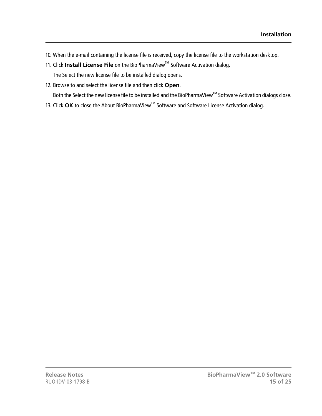- 10. When the e-mail containing the license file is received, copy the license file to the workstation desktop.
- 11. Click **Install License File** on the BioPharmaView<sup>™</sup> Software Activation dialog.

The Select the new license file to be installed dialog opens.

12. Browse to and select the license file and then click **Open**.

Both the Select the new license file to be installed and the BioPharmaView™ Software Activation dialogs close.

13. Click OK to close the About BioPharmaView<sup>™</sup> Software and Software License Activation dialog.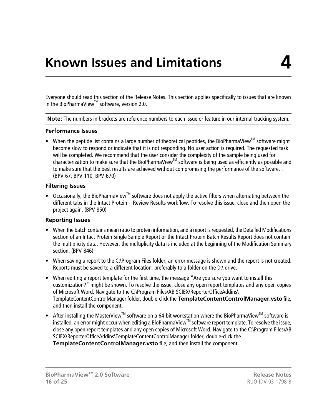<span id="page-15-0"></span>Everyone should read this section of the Release Notes. This section applies specifically to issues that are known in the BioPharmaView<sup>™</sup> software, version 2.0.

**Note:** The numbers in brackets are reference numbers to each issue or feature in our internal tracking system.

#### **Performance Issues**

• When the peptide list contains a large number of theoretical peptides, the BioPharmaView<sup>™</sup> software might become slow to respond or indicate that it is not responding. No user action is required. The requested task will be completed. We recommend that the user consider the complexity of the sample being used for characterization to make sure that the BioPharmaView<sup>™</sup> software is being used as efficiently as possible and to make sure that the best results are achieved without compromising the performance of the software. . (BPV-67, BPV-110, BPV-670)

#### **Filtering Issues**

• Occasionally, the BioPharmaView<sup>™</sup> software does not apply the active filters when alternating between the different tabs in the Intact Protein—Review Results workflow. To resolve this issue, close and then open the project again. (BPV-850)

#### **Reporting Issues**

- When the batch contains mean ratio to protein information, and a report is requested, the Detailed Modifications section of an Intact Protein Single Sample Report or the Intact Protein Batch Results Report does not contain the multiplicity data. However, the multiplicity data is included at the beginning of the Modification Summary section. (BPV-846)
- When saving a report to the C:\Program Files folder, an error message is shown and the report is not created. Reports must be saved to a different location, preferably to a folder on the D:\ drive.
- When editing a report template for the first time, the message "Are you sure you want to install this customization?" might be shown. To resolve the issue, close any open report templates and any open copies of Microsoft Word. Navigate to the C:\Program Files\AB SCIEX\ReporterOfficeAddins\ TemplateContentControlManager folder, double-click the **TemplateContentControlManager.vsto** file, and then install the component.
- After installing the MasterView<sup>™</sup> software on a 64-bit workstation where the BioPharmaView<sup>™</sup> software is installed, an error might occur when editing a BioPharmaView<sup>™</sup> software report template. To resolve the issue, close any open report templates and any open copies of Microsoft Word. Navigate to the C:\Program Files\AB SCIEX\ReporterOfficeAddins\TemplateContentControlManager folder, double-click the **TemplateContentControlManager.vsto** file, and then install the component.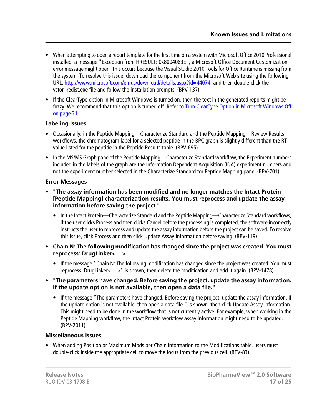- When attempting to open a report template for the first time on a system with Microsoft Office 2010 Professional installed, a message "Exception from HRESULT: 0x8004063E", a Microsoft Office Document Customization error message might open. This occurs because the Visual Studio 2010 Tools for Office Runtime is missing from the system. To resolve this issue, download the component from the Microsoft Web site using the following URL: <http://www.microsoft.com/en-us/download/details.aspx?id=44074>, and then double-click the vstor\_redist.exe file and follow the installation prompts. (BPV-137)
- If the ClearType option in Microsoft Windows is turned on, then the text in the generated reports might be fuzzy. We recommend that this option is turned off. Refer to [Turn ClearType Option in Microsoft Windows Off](#page-20-0) [on page 21.](#page-20-0)

#### **Labeling Issues**

- Occasionally, in the Peptide Mapping—Characterize Standard and the Peptide Mapping—Review Results workflows, the chromatogram label for a selected peptide in the BPC graph is slightly different than the RT value listed for the peptide in the Peptide Results table. (BPV-695)
- In the MS/MS Graph pane of the Peptide Mapping—Characterize Standard workflow, the Experiment numbers included in the labels of the graph are the Information Dependent Acquisition (IDA) experiment numbers and not the experiment number selected in the Characterize Standard for Peptide Mapping pane. (BPV-701)

#### **Error Messages**

- **"The assay information has been modified and no longer matches the Intact Protein [Peptide Mapping] characterization results. You must reprocess and update the assay information before saving the project."**
	- In the Intact Protein—Characterize Standard and the Peptide Mapping—Characterize Standard workflows, if the user clicks Process and then clicks Cancel before the processing is completed, the software incorrectly instructs the user to reprocess and update the assay information before the project can be saved. To resolve this issue, click Process and then click Update Assay Information before saving. (BPV-119)
- **Chain N: The following modification has changed since the project was created. You must reprocess: DrugLinker<....>**
	- If the message "Chain N: The following modification has changed since the project was created. You must reprocess: DrugLinker<....>" is shown, then delete the modification and add it again. (BPV-1478)
- **"The parameters have changed. Before saving the project, update the assay information. If the update option is not available, then open a data file."**
	- If the message "The parameters have changed. Before saving the project, update the assay information. If the update option is not available, then open a data file." is shown, then click Update Assay Information. This might need to be done in the workflow that is not currently active. For example, when working in the Peptide Mapping workflow, the Intact Protein workflow assay information might need to be updated. (BPV-2011)

#### **Miscellaneous Issues**

• When adding Position or Maximum Mods per Chain information to the Modifications table, users must double-click inside the appropriate cell to move the focus from the previous cell. (BPV-83)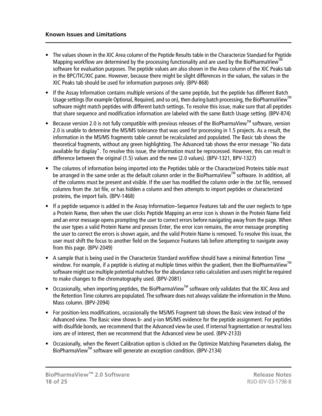- The values shown in the XIC Area column of the Peptide Results table in the Characterize Standard for Peptide Mapping workflow are determined by the processing functionality and are used by the BioPharmaView<sup>™</sup> software for evaluation purposes. The peptide values are also shown in the Area column of the XIC Peaks tab in the BPC/TIC/XIC pane. However, because there might be slight differences in the values, the values in the XIC Peaks tab should be used for information purposes only. (BPV-868)
- If the Assay Information contains multiple versions of the same peptide, but the peptide has different Batch Usage settings (for example Optional, Required, and so on), then during batch processing, the BioPharmaView<sup>™</sup> software might match peptides with different batch settings. To resolve this issue, make sure that all peptides that share sequence and modification information are labeled with the same Batch Usage setting. (BPV-874)
- Because version 2.0 is not fully compatible with previous releases of the BioPharmaView<sup>TM</sup> software, version 2.0 is unable to determine the MS/MS tolerance that was used for processing in 1.5 projects. As a result, the information in the MS/MS fragments table cannot be recalculated and populated. The Basic tab shows the theoretical fragments, without any green highlighting. The Advanced tab shows the error message "No data available for display". To resolve this issue, the information must be reprocessed. However, this can result in difference between the original (1.5) values and the new (2.0 values). (BPV-1321, BPV-1327)
- The columns of information being imported into the Peptides table or the Characterized Proteins table must be arranged in the same order as the default column order in the BioPharmaView™ software. In addition, all of the columns must be present and visible. If the user has modified the column order in the .txt file, removed columns from the .txt file, or has hidden a column and then attempts to import peptides or characterized proteins, the import fails. (BPV-1468)
- If a peptide sequence is added in the Assay Information–Sequence Features tab and the user neglects to type a Protein Name, then when the user clicks Peptide Mapping an error icon is shown in the Protein Name field and an error message opens prompting the user to correct errors before navigating away from the page. When the user types a valid Protein Name and presses Enter, the error icon remains, the error message prompting the user to correct the errors is shown again, and the valid Protein Name is removed. To resolve this issue, the user must shift the focus to another field on the Sequence Features tab before attempting to navigate away from this page. (BPV-2049)
- A sample that is being used in the Characterize Standard workflow should have a minimal Retention Time window. For example, if a peptide is eluting at multiple times within the gradient, then the BioPharmaView<sup>™</sup> software might use multiple potential matches for the abundance ratio calculation and users might be required to make changes to the chromatography used. (BPV-2081)
- Occasionally, when importing peptides, the BioPharmaView<sup>™</sup> software only validates that the XIC Area and the Retention Time columns are populated. The software does not always validate the information in the Mono. Mass column. (BPV-2094)
- For position-less modifications, occasionally the MS/MS Fragment tab shows the Basic view instead of the Advanced view. The Basic view shows b- and y-ion MS/MS evidence for the peptide assignment. For peptides with disulfide bonds, we recommend that the Advanced view be used. If internal fragmentation or neutral loss ions are of interest, then we recommend that the Advanced view be used. (BPV-2133)
- Occasionally, when the Revert Calibration option is clicked on the Optimize Matching Parameters dialog, the BioPharmaView™ software will generate an exception condition. (BPV-2134)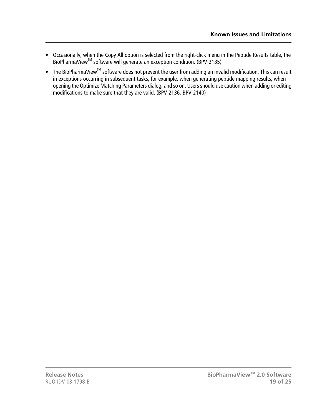- Occasionally, when the Copy All option is selected from the right-click menu in the Peptide Results table, the BioPharmaViewTM software will generate an exception condition. (BPV-2135)
- The BioPharmaView<sup>™</sup> software does not prevent the user from adding an invalid modification. This can result in exceptions occurring in subsequent tasks, for example, when generating peptide mapping results, when opening the Optimize Matching Parameters dialog, and so on. Users should use caution when adding or editing modifications to make sure that they are valid. (BPV-2136, BPV-2140)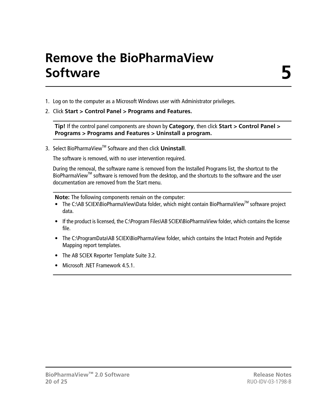# **Remove the BioPharmaView Software**

- <span id="page-19-0"></span>1. Log on to the computer as a Microsoft Windows user with Administrator privileges.
- 2. Click **Start > Control Panel > Programs and Features.**

**Tip!** If the control panel components are shown by **Category**, then click **Start > Control Panel > Programs > Programs and Features > Uninstall a program.**

3. Select BioPharmaView<sup>™</sup> Software and then click **Uninstall**.

The software is removed, with no user intervention required.

During the removal, the software name is removed from the Installed Programs list, the shortcut to the BioPharmaView<sup>™</sup> software is removed from the desktop, and the shortcuts to the software and the user documentation are removed from the Start menu.

**Note:** The following components remain on the computer:

- The C:\AB SCIEX\BioPharmaView\Data folder, which might contain BioPharmaView<sup>™</sup> software project data.
- If the product is licensed, the C:\Program Files\AB SCIEX\BioPharmaView folder, which contains the license file.
- The C:\ProgramData\AB SCIEX\BioPharmaView folder, which contains the Intact Protein and Peptide Mapping report templates.
- The AB SCIEX Reporter Template Suite 3.2.
- Microsoft .NET Framework 4.5.1.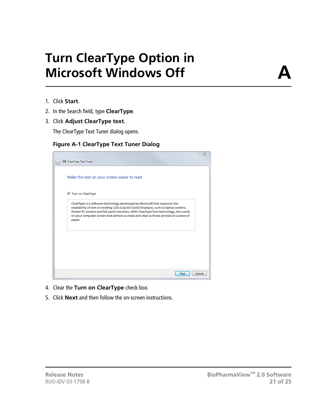# **Turn ClearType Option in Microsoft Windows Off**

**A**

- <span id="page-20-0"></span>1. Click **Start**.
- 2. In the Search field, type **ClearType**.
- 3. Click **Adjust ClearType text**.

The ClearType Text Tuner dialog opens.

#### **Figure A-1 ClearType Text Tuner Dialog**

|                                                                                                                                                                                                                                                                                                                                                                   | $\Sigma$ |
|-------------------------------------------------------------------------------------------------------------------------------------------------------------------------------------------------------------------------------------------------------------------------------------------------------------------------------------------------------------------|----------|
| M ClearType Text Tuner                                                                                                                                                                                                                                                                                                                                            |          |
| Make the text on your screen easier to read                                                                                                                                                                                                                                                                                                                       |          |
| Turn on ClearType                                                                                                                                                                                                                                                                                                                                                 |          |
| ClearType is a software technology developed by Microsoft that improves the<br>readability of text on existing LCDs (Liquid Crystal Displays), such as laptop screens,<br>Pocket PC screens and flat panel monitors. With ClearType font technology, the words<br>on your computer screen look almost as sharp and clear as those printed on a piece of<br>paper. |          |
|                                                                                                                                                                                                                                                                                                                                                                   |          |
|                                                                                                                                                                                                                                                                                                                                                                   |          |
| Next                                                                                                                                                                                                                                                                                                                                                              | Cancel   |

- 4. Clear the **Turn on ClearType** check box.
- 5. Click **Next** and then follow the on-screen instructions.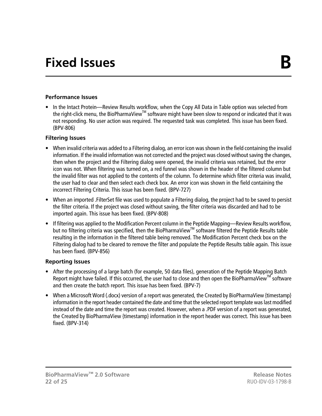# **Fixed Issues B**

#### <span id="page-21-0"></span>**Performance Issues**

• In the Intact Protein—Review Results workflow, when the Copy All Data in Table option was selected from the right-click menu, the BioPharmaView™ software might have been slow to respond or indicated that it was not responding. No user action was required. The requested task was completed. This issue has been fixed. (BPV-806)

#### **Filtering Issues**

- When invalid criteria was added to a Filtering dialog, an error icon was shown in the field containing the invalid information. If the invalid information was not corrected and the project was closed without saving the changes, then when the project and the Filtering dialog were opened, the invalid criteria was retained, but the error icon was not. When filtering was turned on, a red funnel was shown in the header of the filtered column but the invalid filter was not applied to the contents of the column. To determine which filter criteria was invalid, the user had to clear and then select each check box. An error icon was shown in the field containing the incorrect Filtering Criteria. This issue has been fixed. (BPV-727)
- When an imported .FilterSet file was used to populate a Filtering dialog, the project had to be saved to persist the filter criteria. If the project was closed without saving, the filter criteria was discarded and had to be imported again. This issue has been fixed. (BPV-808)
- If filtering was applied to the Modification Percent column in the Peptide Mapping—Review Results workflow, but no filtering criteria was specified, then the BioPharmaViewTM software filtered the Peptide Results table resulting in the information in the filtered table being removed. The Modification Percent check box on the Filtering dialog had to be cleared to remove the filter and populate the Peptide Results table again. This issue has been fixed. (BPV-856)

#### **Reporting Issues**

- After the processing of a large batch (for example, 50 data files), generation of the Peptide Mapping Batch Report might have failed. If this occurred, the user had to close and then open the BioPharmaView™ software and then create the batch report. This issue has been fixed. (BPV-7)
- When a Microsoft Word (.docx) version of a report was generated, the Created by BioPharmaView {timestamp} information in the report header contained the date and time that the selected report template was last modified instead of the date and time the report was created. However, when a .PDF version of a report was generated, the Created by BioPharmaView {timestamp} information in the report header was correct. This issue has been fixed. (BPV-314)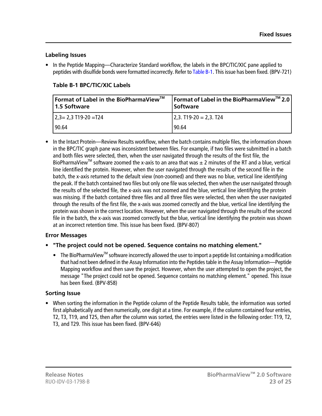#### **Labeling Issues**

<span id="page-22-0"></span>• In the Peptide Mapping—Characterize Standard workflow, the labels in the BPC/TIC/XIC pane applied to peptides with disulfide bonds were formatted incorrectly. Refer to [Table B-1.](#page-22-0) This issue has been fixed. (BPV-721)

| <b> Format of Label in the BioPharmaView™</b><br>1.5 Software | Format of Label in the BioPharmaView™ 2.0<br><b>Software</b> |
|---------------------------------------------------------------|--------------------------------------------------------------|
| $\frac{1}{2.3}$ = 2.3 T19-20 = T24                            | $2,3. T19-20 = 2,3. T24$                                     |
| 90.64                                                         | 190.64                                                       |

#### **Table B-1 BPC/TIC/XIC Labels**

• In the Intact Protein—Review Results workflow, when the batch contains multiple files, the information shown in the BPC/TIC graph pane was inconsistent between files. For example, if two files were submitted in a batch and both files were selected, then, when the user navigated through the results of the first file, the BioPharmaView<sup>TM</sup> software zoomed the x-axis to an area that was  $\pm$  2 minutes of the RT and a blue, vertical line identified the protein. However, when the user navigated through the results of the second file in the batch, the x-axis returned to the default view (non-zoomed) and there was no blue, vertical line identifying the peak. If the batch contained two files but only one file was selected, then when the user navigated through the results of the selected file, the x-axis was not zoomed and the blue, vertical line identifying the protein was missing. If the batch contained three files and all three files were selected, then when the user navigated through the results of the first file, the x-axis was zoomed correctly and the blue, vertical line identifying the protein was shown in the correct location. However, when the user navigated through the results of the second file in the batch, the x-axis was zoomed correctly but the blue, vertical line identifying the protein was shown at an incorrect retention time. This issue has been fixed. (BPV-807)

#### **Error Messages**

- **"The project could not be opened. Sequence contains no matching element."**
	- The BioPharmaView<sup>™</sup> software incorrectly allowed the user to import a peptide list containing a modification that had not been defined in the Assay Information into the Peptides table in the Assay Information—Peptide Mapping workflow and then save the project. However, when the user attempted to open the project, the message "The project could not be opened. Sequence contains no matching element." opened. This issue has been fixed. (BPV-858)

#### **Sorting Issue**

• When sorting the information in the Peptide column of the Peptide Results table, the information was sorted first alphabetically and then numerically, one digit at a time. For example, if the column contained four entries, T2, T3, T19, and T25, then after the column was sorted, the entries were listed in the following order: T19, T2, T3, and T29. This issue has been fixed. (BPV-646)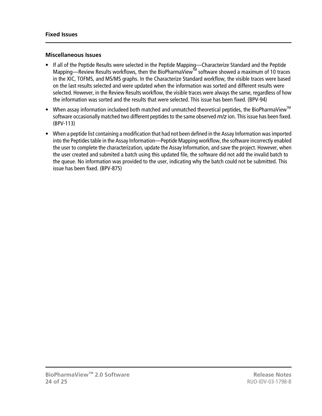#### **Miscellaneous Issues**

- If all of the Peptide Results were selected in the Peptide Mapping—Characterize Standard and the Peptide Mapping—Review Results workflows, then the BioPharmaView™ software showed a maximum of 10 traces in the XIC, TOFMS, and MS/MS graphs. In the Characterize Standard workflow, the visible traces were based on the last results selected and were updated when the information was sorted and different results were selected. However, in the Review Results workflow, the visible traces were always the same, regardless of how the information was sorted and the results that were selected. This issue has been fixed. (BPV-94)
- When assay information includeed both matched and unmatched theoretical peptides, the BioPharmaView<sup>™</sup> software occasionally matched two different peptides to the same observed *m/z* ion. This issue has been fixed. (BPV-113)
- When a peptide list containing a modification that had not been defined in the Assay Information was imported into the Peptides table in the Assay Information—Peptide Mapping workflow, the software incorrectly enabled the user to complete the characterization, update the Assay Information, and save the project. However, when the user created and submited a batch using this updated file, the software did not add the invalid batch to the queue. No information was provided to the user, indicating why the batch could not be submitted. This issue has been fixed. (BPV-875)